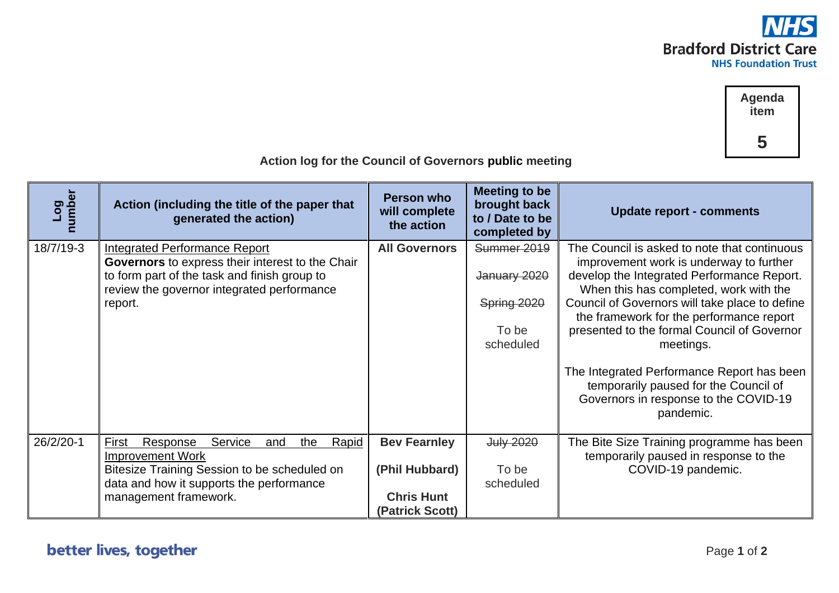



| Log<br>number | Action (including the title of the paper that<br>generated the action)                                                                                                                              | Person who<br>will complete<br>the action                                     | <b>Meeting to be</b><br>brought back<br>to / Date to be<br>completed by | <b>Update report - comments</b>                                                                                                                                                                                                                                                                                                                                                                                                                                                        |
|---------------|-----------------------------------------------------------------------------------------------------------------------------------------------------------------------------------------------------|-------------------------------------------------------------------------------|-------------------------------------------------------------------------|----------------------------------------------------------------------------------------------------------------------------------------------------------------------------------------------------------------------------------------------------------------------------------------------------------------------------------------------------------------------------------------------------------------------------------------------------------------------------------------|
| 18/7/19-3     | <b>Integrated Performance Report</b><br>Governors to express their interest to the Chair<br>to form part of the task and finish group to<br>review the governor integrated performance<br>report.   | <b>All Governors</b>                                                          | Summer 2019<br>January 2020<br>Spring 2020<br>To be<br>scheduled        | The Council is asked to note that continuous<br>improvement work is underway to further<br>develop the Integrated Performance Report.<br>When this has completed, work with the<br>Council of Governors will take place to define<br>the framework for the performance report<br>presented to the formal Council of Governor<br>meetings.<br>The Integrated Performance Report has been<br>temporarily paused for the Council of<br>Governors in response to the COVID-19<br>pandemic. |
| 26/2/20-1     | Service<br>Rapid<br>Response<br>First<br>the<br>and<br><b>Improvement Work</b><br>Bitesize Training Session to be scheduled on<br>data and how it supports the performance<br>management framework. | <b>Bev Fearnley</b><br>(Phil Hubbard)<br><b>Chris Hunt</b><br>(Patrick Scott) | July 2020<br>To be<br>scheduled                                         | The Bite Size Training programme has been<br>temporarily paused in response to the<br>COVID-19 pandemic.                                                                                                                                                                                                                                                                                                                                                                               |

 **Action log for the Council of Governors public meeting**

## better lives, together